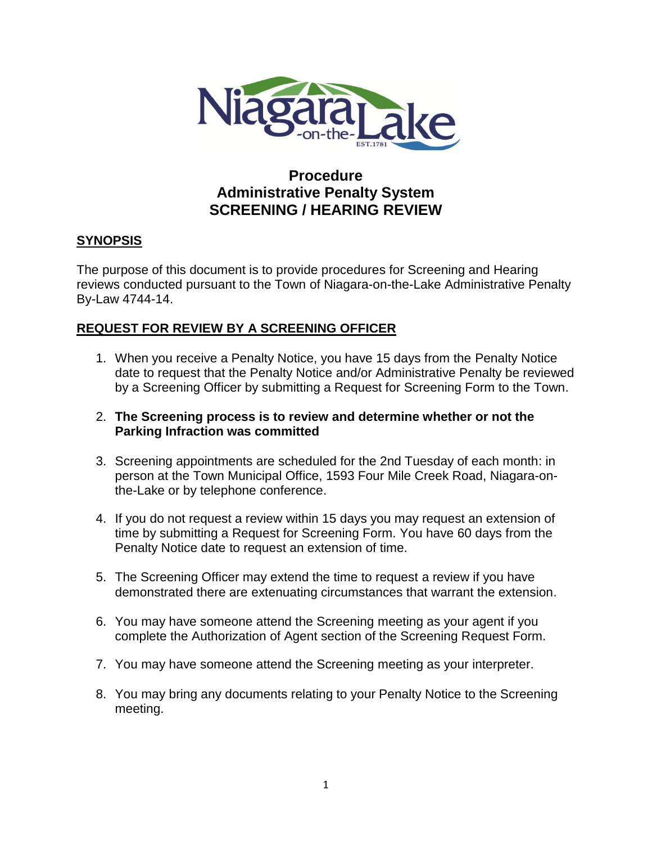

# **Procedure Administrative Penalty System SCREENING / HEARING REVIEW**

## **SYNOPSIS**

The purpose of this document is to provide procedures for Screening and Hearing reviews conducted pursuant to the Town of Niagara-on-the-Lake Administrative Penalty By-Law 4744-14.

## **REQUEST FOR REVIEW BY A SCREENING OFFICER**

- 1. When you receive a Penalty Notice, you have 15 days from the Penalty Notice date to request that the Penalty Notice and/or Administrative Penalty be reviewed by a Screening Officer by submitting a Request for Screening Form to the Town.
- 2. **The Screening process is to review and determine whether or not the Parking Infraction was committed**
- 3. Screening appointments are scheduled for the 2nd Tuesday of each month: in person at the Town Municipal Office, 1593 Four Mile Creek Road, Niagara-onthe-Lake or by telephone conference.
- 4. If you do not request a review within 15 days you may request an extension of time by submitting a Request for Screening Form. You have 60 days from the Penalty Notice date to request an extension of time.
- 5. The Screening Officer may extend the time to request a review if you have demonstrated there are extenuating circumstances that warrant the extension.
- 6. You may have someone attend the Screening meeting as your agent if you complete the Authorization of Agent section of the Screening Request Form.
- 7. You may have someone attend the Screening meeting as your interpreter.
- 8. You may bring any documents relating to your Penalty Notice to the Screening meeting.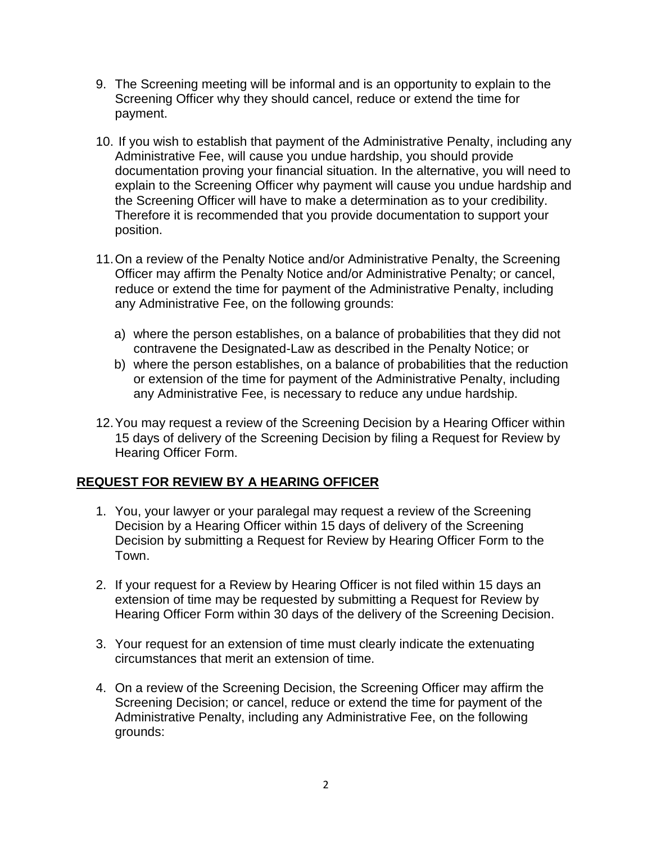- 9. The Screening meeting will be informal and is an opportunity to explain to the Screening Officer why they should cancel, reduce or extend the time for payment.
- 10. If you wish to establish that payment of the Administrative Penalty, including any Administrative Fee, will cause you undue hardship, you should provide documentation proving your financial situation. In the alternative, you will need to explain to the Screening Officer why payment will cause you undue hardship and the Screening Officer will have to make a determination as to your credibility. Therefore it is recommended that you provide documentation to support your position.
- 11.On a review of the Penalty Notice and/or Administrative Penalty, the Screening Officer may affirm the Penalty Notice and/or Administrative Penalty; or cancel, reduce or extend the time for payment of the Administrative Penalty, including any Administrative Fee, on the following grounds:
	- a) where the person establishes, on a balance of probabilities that they did not contravene the Designated-Law as described in the Penalty Notice; or
	- b) where the person establishes, on a balance of probabilities that the reduction or extension of the time for payment of the Administrative Penalty, including any Administrative Fee, is necessary to reduce any undue hardship.
- 12.You may request a review of the Screening Decision by a Hearing Officer within 15 days of delivery of the Screening Decision by filing a Request for Review by Hearing Officer Form.

## **REQUEST FOR REVIEW BY A HEARING OFFICER**

- 1. You, your lawyer or your paralegal may request a review of the Screening Decision by a Hearing Officer within 15 days of delivery of the Screening Decision by submitting a Request for Review by Hearing Officer Form to the Town.
- 2. If your request for a Review by Hearing Officer is not filed within 15 days an extension of time may be requested by submitting a Request for Review by Hearing Officer Form within 30 days of the delivery of the Screening Decision.
- 3. Your request for an extension of time must clearly indicate the extenuating circumstances that merit an extension of time.
- 4. On a review of the Screening Decision, the Screening Officer may affirm the Screening Decision; or cancel, reduce or extend the time for payment of the Administrative Penalty, including any Administrative Fee, on the following grounds: